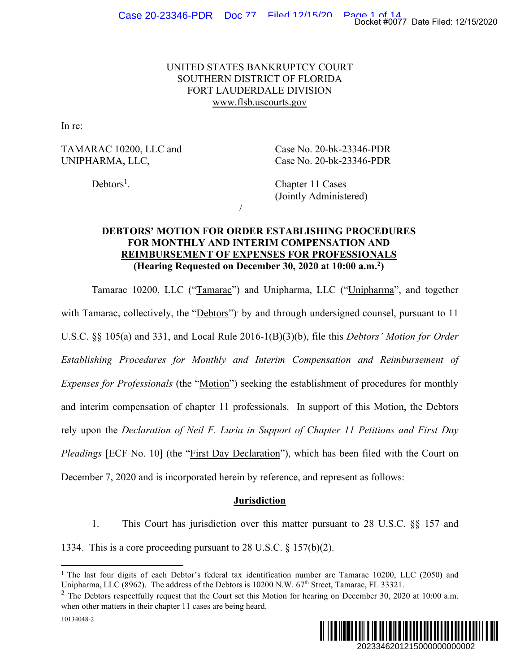## UNITED STATES BANKRUPTCY COURT SOUTHERN DISTRICT OF FLORIDA FORT LAUDERDALE DIVISION www.flsb.uscourts.gov

In re:

TAMARAC 10200, LLC and Case No. 20-bk-23346-PDR UNIPHARMA, LLC, Case No. 20-bk-23346-PDR

 $\overline{\phantom{a}}$ 

 $Debtors<sup>1</sup>$ .

. Chapter 11 Cases (Jointly Administered)

## **DEBTORS' MOTION FOR ORDER ESTABLISHING PROCEDURES FOR MONTHLY AND INTERIM COMPENSATION AND REIMBURSEMENT OF EXPENSES FOR PROFESSIONALS (Hearing Requested on December 30, 2020 at 10:00 a.m.2)**

Tamarac 10200, LLC ("Tamarac") and Unipharma, LLC ("Unipharma", and together with Tamarac, collectively, the "Debtors") by and through undersigned counsel, pursuant to 11 U.S.C. §§ 105(a) and 331, and Local Rule 2016-1(B)(3)(b), file this *Debtors' Motion for Order Establishing Procedures for Monthly and Interim Compensation and Reimbursement of Expenses for Professionals* (the "Motion") seeking the establishment of procedures for monthly and interim compensation of chapter 11 professionals. In support of this Motion, the Debtors rely upon the *Declaration of Neil F. Luria in Support of Chapter 11 Petitions and First Day Pleadings* [ECF No. 10] (the "*First Day Declaration*"), which has been filed with the Court on December 7, 2020 and is incorporated herein by reference, and represent as follows: 20234462017 Date Filed: 12/15/2020<br>
2022 Docket #0077 Date Filed: 12/15/2020<br>
2020 Docket #007<br>
2020 Docket Example:<br>
2020 Docket Example:<br>
2020 Docket and Reimbursement of<br>
2020 Docket Example:<br>
2023 Docket Example:<br>
202

## **Jurisdiction**

1. This Court has jurisdiction over this matter pursuant to 28 U.S.C. §§ 157 and

1334. This is a core proceeding pursuant to 28 U.S.C. § 157(b)(2).



<sup>&</sup>lt;sup>1</sup> The last four digits of each Debtor's federal tax identification number are Tamarac 10200, LLC (2050) and Unipharma, LLC (8962). The address of the Debtors is 10200 N.W. 67<sup>th</sup> Street, Tamarac, FL 33321.

 $2$  The Debtors respectfully request that the Court set this Motion for hearing on December 30, 2020 at 10:00 a.m. when other matters in their chapter 11 cases are being heard.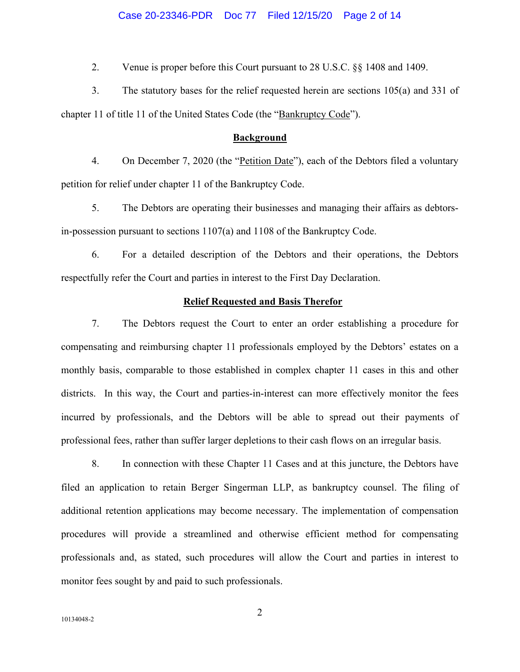#### Case 20-23346-PDR Doc 77 Filed 12/15/20 Page 2 of 14

2. Venue is proper before this Court pursuant to 28 U.S.C. §§ 1408 and 1409.

3. The statutory bases for the relief requested herein are sections 105(a) and 331 of chapter 11 of title 11 of the United States Code (the "Bankruptcy Code").

#### **Background**

4. On December 7, 2020 (the "Petition Date"), each of the Debtors filed a voluntary petition for relief under chapter 11 of the Bankruptcy Code.

5. The Debtors are operating their businesses and managing their affairs as debtorsin-possession pursuant to sections 1107(a) and 1108 of the Bankruptcy Code.

6. For a detailed description of the Debtors and their operations, the Debtors respectfully refer the Court and parties in interest to the First Day Declaration.

#### **Relief Requested and Basis Therefor**

7. The Debtors request the Court to enter an order establishing a procedure for compensating and reimbursing chapter 11 professionals employed by the Debtors' estates on a monthly basis, comparable to those established in complex chapter 11 cases in this and other districts. In this way, the Court and parties-in-interest can more effectively monitor the fees incurred by professionals, and the Debtors will be able to spread out their payments of professional fees, rather than suffer larger depletions to their cash flows on an irregular basis.

8. In connection with these Chapter 11 Cases and at this juncture, the Debtors have filed an application to retain Berger Singerman LLP, as bankruptcy counsel. The filing of additional retention applications may become necessary. The implementation of compensation procedures will provide a streamlined and otherwise efficient method for compensating professionals and, as stated, such procedures will allow the Court and parties in interest to monitor fees sought by and paid to such professionals.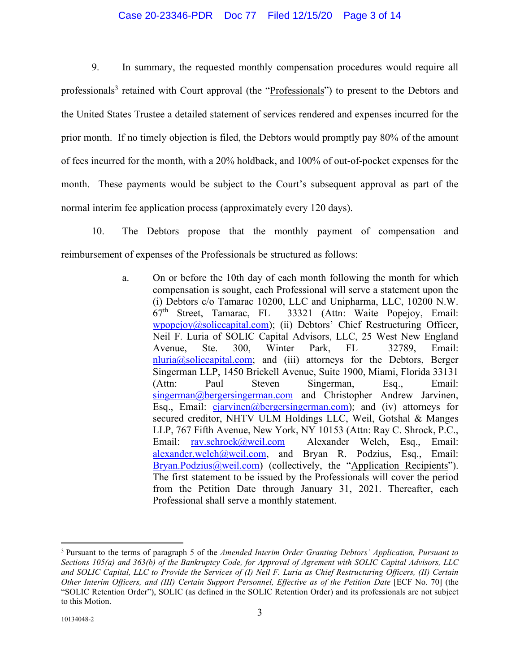#### Case 20-23346-PDR Doc 77 Filed 12/15/20 Page 3 of 14

9. In summary, the requested monthly compensation procedures would require all professionals<sup>3</sup> retained with Court approval (the "Professionals") to present to the Debtors and the United States Trustee a detailed statement of services rendered and expenses incurred for the prior month. If no timely objection is filed, the Debtors would promptly pay 80% of the amount of fees incurred for the month, with a 20% holdback, and 100% of out-of-pocket expenses for the month. These payments would be subject to the Court's subsequent approval as part of the normal interim fee application process (approximately every 120 days).

10. The Debtors propose that the monthly payment of compensation and reimbursement of expenses of the Professionals be structured as follows:

> a. On or before the 10th day of each month following the month for which compensation is sought, each Professional will serve a statement upon the (i) Debtors c/o Tamarac 10200, LLC and Unipharma, LLC, 10200 N.W.  $67<sup>th</sup>$  Street, Tamarac, FL 33321 (Attn: Waite Popejoy, Email: wpopejoy@soliccapital.com); (ii) Debtors' Chief Restructuring Officer, Neil F. Luria of SOLIC Capital Advisors, LLC, 25 West New England Avenue, Ste. 300, Winter Park, FL 32789, Email:  $n$ luria $@$ soliccapital.com; and (iii) attorneys for the Debtors, Berger Singerman LLP, 1450 Brickell Avenue, Suite 1900, Miami, Florida 33131 (Attn: Paul Steven Singerman, Esq., Email: singerman@bergersingerman.com and Christopher Andrew Jarvinen, Esq., Email:  $ciarvinen@bergersingerman.com$ ; and (iv) attorneys for secured creditor, NHTV ULM Holdings LLC, Weil, Gotshal & Manges LLP, 767 Fifth Avenue, New York, NY 10153 (Attn: Ray C. Shrock, P.C., Email: ray.schrock@weil.com Alexander Welch, Esq., Email: alexander.welch@weil.com, and Bryan R. Podzius, Esq., Email: Bryan.Podzius@weil.com) (collectively, the "Application Recipients"). The first statement to be issued by the Professionals will cover the period from the Petition Date through January 31, 2021. Thereafter, each Professional shall serve a monthly statement.

<sup>3</sup> Pursuant to the terms of paragraph 5 of the *Amended Interim Order Granting Debtors' Application, Pursuant to Sections 105(a) and 363(b) of the Bankruptcy Code, for Approval of Agrement with SOLIC Capital Advisors, LLC and SOLIC Capital, LLC to Provide the Services of (I) Neil F. Luria as Chief Restructuring Officers, (II) Certain Other Interim Officers, and (III) Certain Support Personnel, Effective as of the Petition Date* [ECF No. 70] (the "SOLIC Retention Order"), SOLIC (as defined in the SOLIC Retention Order) and its professionals are not subject to this Motion.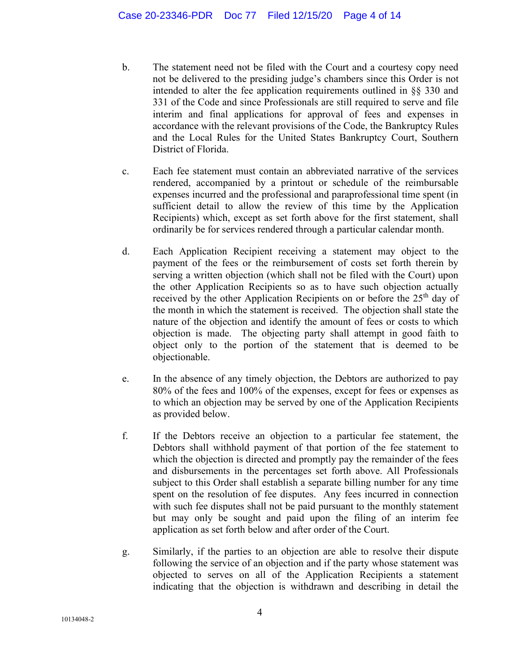- b. The statement need not be filed with the Court and a courtesy copy need not be delivered to the presiding judge's chambers since this Order is not intended to alter the fee application requirements outlined in §§ 330 and 331 of the Code and since Professionals are still required to serve and file interim and final applications for approval of fees and expenses in accordance with the relevant provisions of the Code, the Bankruptcy Rules and the Local Rules for the United States Bankruptcy Court, Southern District of Florida.
- c. Each fee statement must contain an abbreviated narrative of the services rendered, accompanied by a printout or schedule of the reimbursable expenses incurred and the professional and paraprofessional time spent (in sufficient detail to allow the review of this time by the Application Recipients) which, except as set forth above for the first statement, shall ordinarily be for services rendered through a particular calendar month.
- d. Each Application Recipient receiving a statement may object to the payment of the fees or the reimbursement of costs set forth therein by serving a written objection (which shall not be filed with the Court) upon the other Application Recipients so as to have such objection actually received by the other Application Recipients on or before the 25<sup>th</sup> day of the month in which the statement is received. The objection shall state the nature of the objection and identify the amount of fees or costs to which objection is made. The objecting party shall attempt in good faith to object only to the portion of the statement that is deemed to be objectionable.
- e. In the absence of any timely objection, the Debtors are authorized to pay 80% of the fees and 100% of the expenses, except for fees or expenses as to which an objection may be served by one of the Application Recipients as provided below.
- f. If the Debtors receive an objection to a particular fee statement, the Debtors shall withhold payment of that portion of the fee statement to which the objection is directed and promptly pay the remainder of the fees and disbursements in the percentages set forth above. All Professionals subject to this Order shall establish a separate billing number for any time spent on the resolution of fee disputes. Any fees incurred in connection with such fee disputes shall not be paid pursuant to the monthly statement but may only be sought and paid upon the filing of an interim fee application as set forth below and after order of the Court.
- g. Similarly, if the parties to an objection are able to resolve their dispute following the service of an objection and if the party whose statement was objected to serves on all of the Application Recipients a statement indicating that the objection is withdrawn and describing in detail the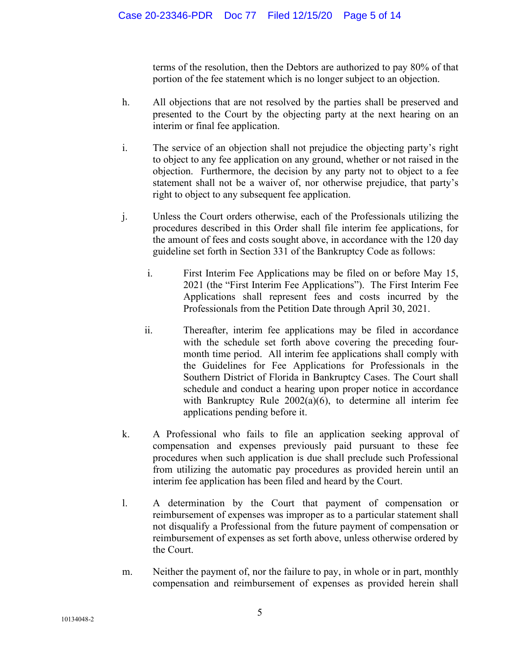terms of the resolution, then the Debtors are authorized to pay 80% of that portion of the fee statement which is no longer subject to an objection.

- h. All objections that are not resolved by the parties shall be preserved and presented to the Court by the objecting party at the next hearing on an interim or final fee application.
- i. The service of an objection shall not prejudice the objecting party's right to object to any fee application on any ground, whether or not raised in the objection. Furthermore, the decision by any party not to object to a fee statement shall not be a waiver of, nor otherwise prejudice, that party's right to object to any subsequent fee application.
- j. Unless the Court orders otherwise, each of the Professionals utilizing the procedures described in this Order shall file interim fee applications, for the amount of fees and costs sought above, in accordance with the 120 day guideline set forth in Section 331 of the Bankruptcy Code as follows:
	- i. First Interim Fee Applications may be filed on or before May 15, 2021 (the "First Interim Fee Applications"). The First Interim Fee Applications shall represent fees and costs incurred by the Professionals from the Petition Date through April 30, 2021.
	- ii. Thereafter, interim fee applications may be filed in accordance with the schedule set forth above covering the preceding fourmonth time period. All interim fee applications shall comply with the Guidelines for Fee Applications for Professionals in the Southern District of Florida in Bankruptcy Cases. The Court shall schedule and conduct a hearing upon proper notice in accordance with Bankruptcy Rule 2002(a)(6), to determine all interim fee applications pending before it.
- k. A Professional who fails to file an application seeking approval of compensation and expenses previously paid pursuant to these fee procedures when such application is due shall preclude such Professional from utilizing the automatic pay procedures as provided herein until an interim fee application has been filed and heard by the Court.
- l. A determination by the Court that payment of compensation or reimbursement of expenses was improper as to a particular statement shall not disqualify a Professional from the future payment of compensation or reimbursement of expenses as set forth above, unless otherwise ordered by the Court.
- m. Neither the payment of, nor the failure to pay, in whole or in part, monthly compensation and reimbursement of expenses as provided herein shall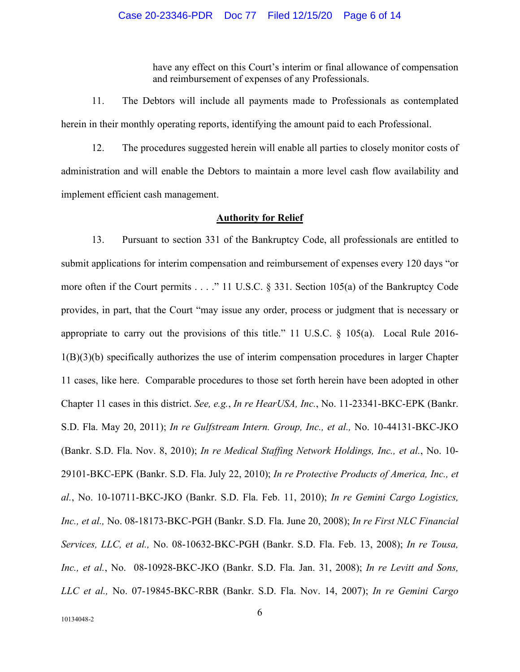have any effect on this Court's interim or final allowance of compensation and reimbursement of expenses of any Professionals.

11. The Debtors will include all payments made to Professionals as contemplated herein in their monthly operating reports, identifying the amount paid to each Professional.

12. The procedures suggested herein will enable all parties to closely monitor costs of administration and will enable the Debtors to maintain a more level cash flow availability and implement efficient cash management.

#### **Authority for Relief**

13. Pursuant to section 331 of the Bankruptcy Code, all professionals are entitled to submit applications for interim compensation and reimbursement of expenses every 120 days "or more often if the Court permits . . . ." 11 U.S.C. § 331. Section 105(a) of the Bankruptcy Code provides, in part, that the Court "may issue any order, process or judgment that is necessary or appropriate to carry out the provisions of this title." 11 U.S.C. § 105(a). Local Rule 2016- 1(B)(3)(b) specifically authorizes the use of interim compensation procedures in larger Chapter 11 cases, like here. Comparable procedures to those set forth herein have been adopted in other Chapter 11 cases in this district. *See, e.g.*, *In re HearUSA, Inc.*, No. 11-23341-BKC-EPK (Bankr. S.D. Fla. May 20, 2011); *In re Gulfstream Intern. Group, Inc., et al.,* No. 10-44131-BKC-JKO (Bankr. S.D. Fla. Nov. 8, 2010); *In re Medical Staffing Network Holdings, Inc., et al.*, No. 10- 29101-BKC-EPK (Bankr. S.D. Fla. July 22, 2010); *In re Protective Products of America, Inc., et al.*, No. 10-10711-BKC-JKO (Bankr. S.D. Fla. Feb. 11, 2010); *In re Gemini Cargo Logistics, Inc., et al.,* No. 08-18173-BKC-PGH (Bankr. S.D. Fla. June 20, 2008); *In re First NLC Financial Services, LLC, et al.,* No. 08-10632-BKC-PGH (Bankr. S.D. Fla. Feb. 13, 2008); *In re Tousa, Inc., et al.*, No. 08-10928-BKC-JKO (Bankr. S.D. Fla. Jan. 31, 2008); *In re Levitt and Sons, LLC et al.,* No. 07-19845-BKC-RBR (Bankr. S.D. Fla. Nov. 14, 2007); *In re Gemini Cargo*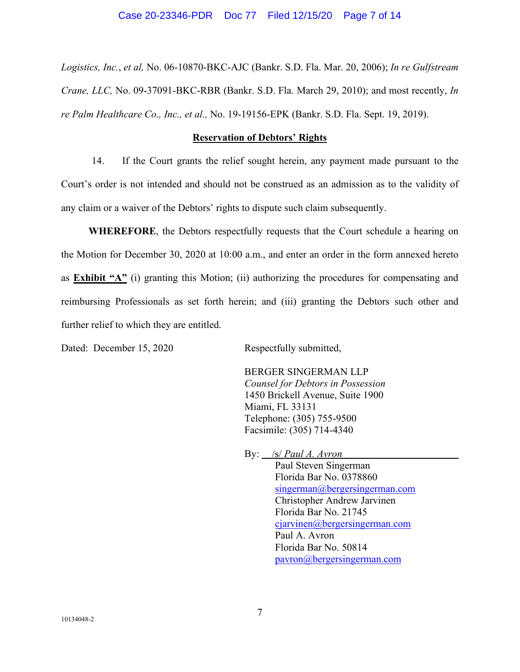#### Case 20-23346-PDR Doc 77 Filed 12/15/20 Page 7 of 14

*Logistics, Inc.*, *et al,* No. 06-10870-BKC-AJC (Bankr. S.D. Fla. Mar. 20, 2006); *In re Gulfstream Crane, LLC,* No. 09-37091-BKC-RBR (Bankr. S.D. Fla. March 29, 2010); and most recently, *In re Palm Healthcare Co., Inc., et al.,* No. 19-19156-EPK (Bankr. S.D. Fla. Sept. 19, 2019).

### **Reservation of Debtors' Rights**

14. If the Court grants the relief sought herein, any payment made pursuant to the Court's order is not intended and should not be construed as an admission as to the validity of any claim or a waiver of the Debtors' rights to dispute such claim subsequently.

**WHEREFORE**, the Debtors respectfully requests that the Court schedule a hearing on the Motion for December 30, 2020 at 10:00 a.m., and enter an order in the form annexed hereto as **Exhibit "A"** (i) granting this Motion; (ii) authorizing the procedures for compensating and reimbursing Professionals as set forth herein; and (iii) granting the Debtors such other and further relief to which they are entitled.

Dated: December 15, 2020 Respectfully submitted,

 BERGER SINGERMAN LLP *Counsel for Debtors in Possession*  1450 Brickell Avenue, Suite 1900 Miami, FL 33131 Telephone: (305) 755-9500 Facsimile: (305) 714-4340

 By: /s/ *Paul A. Avron*  Paul Steven Singerman Florida Bar No. 0378860 singerman@bergersingerman.com Christopher Andrew Jarvinen Florida Bar No. 21745 ciarvinen@bergersingerman.com Paul A. Avron Florida Bar No. 50814 pavron@bergersingerman.com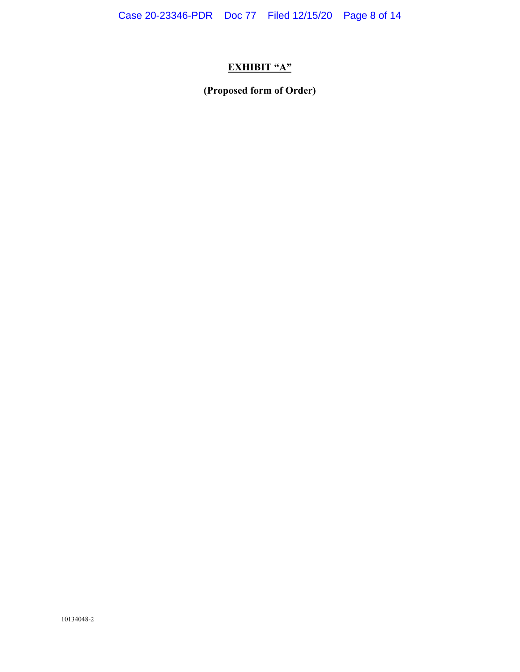# **EXHIBIT "A"**

**(Proposed form of Order)**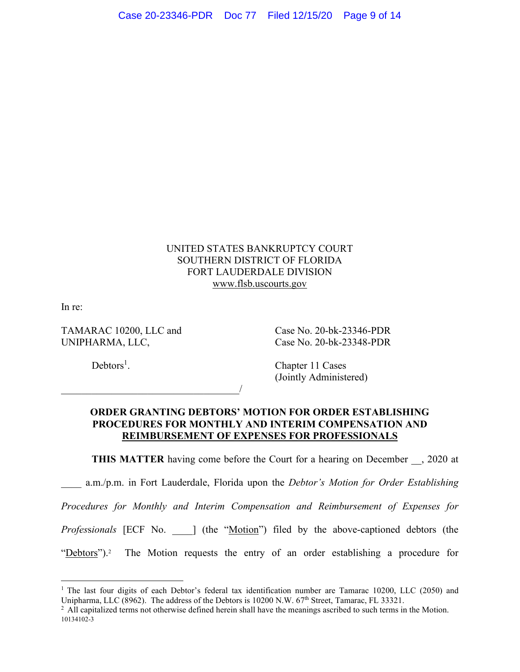## UNITED STATES BANKRUPTCY COURT SOUTHERN DISTRICT OF FLORIDA FORT LAUDERDALE DIVISION www.flsb.uscourts.gov

In re:

UNIPHARMA, LLC, Case No. 20-bk-23348-PDR

 $\overline{\phantom{a}}$ 

TAMARAC 10200, LLC and Case No. 20-bk-23346-PDR

 $Debtors<sup>1</sup>$ .

. Chapter 11 Cases (Jointly Administered)

## **ORDER GRANTING DEBTORS' MOTION FOR ORDER ESTABLISHING PROCEDURES FOR MONTHLY AND INTERIM COMPENSATION AND REIMBURSEMENT OF EXPENSES FOR PROFESSIONALS**

**THIS MATTER** having come before the Court for a hearing on December  $\phantom{0}$ , 2020 at

a.m./p.m. in Fort Lauderdale, Florida upon the *Debtor's Motion for Order Establishing* 

*Procedures for Monthly and Interim Compensation and Reimbursement of Expenses for* 

*Professionals* [ECF No.  $\Box$ ] (the "Motion") filed by the above-captioned debtors (the

"Debtors").2 The Motion requests the entry of an order establishing a procedure for

<sup>&</sup>lt;sup>1</sup> The last four digits of each Debtor's federal tax identification number are Tamarac 10200, LLC (2050) and Unipharma, LLC (8962). The address of the Debtors is 10200 N.W. 67<sup>th</sup> Street, Tamarac, FL 33321.<br><sup>2</sup> All capitalized terms not otherwise defined herein shall have the meanings ascribed to such terms in the Motion.

<sup>10134102-3</sup>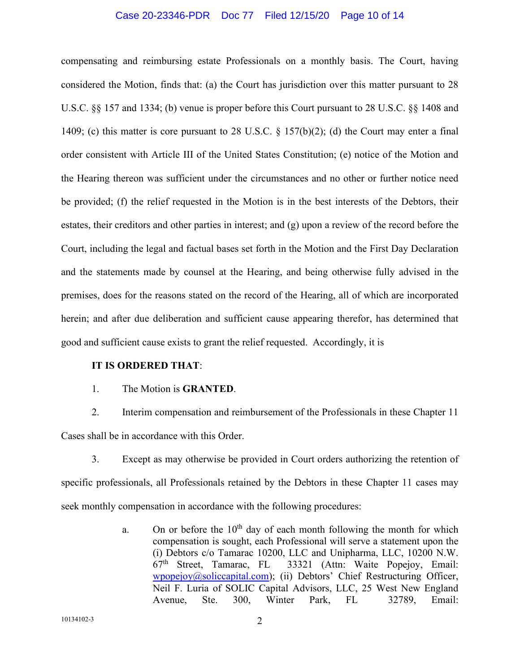#### Case 20-23346-PDR Doc 77 Filed 12/15/20 Page 10 of 14

compensating and reimbursing estate Professionals on a monthly basis. The Court, having considered the Motion, finds that: (a) the Court has jurisdiction over this matter pursuant to 28 U.S.C. §§ 157 and 1334; (b) venue is proper before this Court pursuant to 28 U.S.C. §§ 1408 and 1409; (c) this matter is core pursuant to 28 U.S.C. § 157(b)(2); (d) the Court may enter a final order consistent with Article III of the United States Constitution; (e) notice of the Motion and the Hearing thereon was sufficient under the circumstances and no other or further notice need be provided; (f) the relief requested in the Motion is in the best interests of the Debtors, their estates, their creditors and other parties in interest; and (g) upon a review of the record before the Court, including the legal and factual bases set forth in the Motion and the First Day Declaration and the statements made by counsel at the Hearing, and being otherwise fully advised in the premises, does for the reasons stated on the record of the Hearing, all of which are incorporated herein; and after due deliberation and sufficient cause appearing therefor, has determined that good and sufficient cause exists to grant the relief requested. Accordingly, it is

#### **IT IS ORDERED THAT**:

1. The Motion is **GRANTED**.

2. Interim compensation and reimbursement of the Professionals in these Chapter 11 Cases shall be in accordance with this Order.

3. Except as may otherwise be provided in Court orders authorizing the retention of specific professionals, all Professionals retained by the Debtors in these Chapter 11 cases may seek monthly compensation in accordance with the following procedures:

> a. On or before the  $10<sup>th</sup>$  day of each month following the month for which compensation is sought, each Professional will serve a statement upon the (i) Debtors c/o Tamarac 10200, LLC and Unipharma, LLC, 10200 N.W.  $67<sup>th</sup>$  Street, Tamarac, FL 33321 (Attn: Waite Popejoy, Email: wpopejoy@soliccapital.com); (ii) Debtors' Chief Restructuring Officer, Neil F. Luria of SOLIC Capital Advisors, LLC, 25 West New England Avenue, Ste. 300, Winter Park, FL 32789, Email: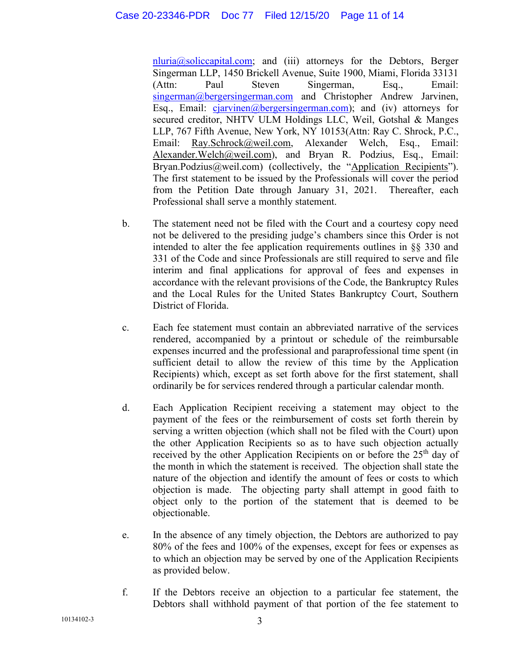$n<sub>l</sub> = n<sub>l</sub> = n<sub>l</sub> = n<sub>l</sub>$  and (iii) attorneys for the Debtors, Berger Singerman LLP, 1450 Brickell Avenue, Suite 1900, Miami, Florida 33131 (Attn: Paul Steven Singerman, Esq., Email: singerman@bergersingerman.com and Christopher Andrew Jarvinen, Esq., Email:  $cjarvinen@bergersingenman.com$ ; and (iv) attorneys for secured creditor, NHTV ULM Holdings LLC, Weil, Gotshal & Manges LLP, 767 Fifth Avenue, New York, NY 10153(Attn: Ray C. Shrock, P.C., Email: Ray.Schrock@weil.com, Alexander Welch, Esq., Email: Alexander. Welch@weil.com), and Bryan R. Podzius, Esq., Email: Bryan.Podzius@weil.com) (collectively, the "Application Recipients"). The first statement to be issued by the Professionals will cover the period from the Petition Date through January 31, 2021. Thereafter, each Professional shall serve a monthly statement.

- b. The statement need not be filed with the Court and a courtesy copy need not be delivered to the presiding judge's chambers since this Order is not intended to alter the fee application requirements outlines in §§ 330 and 331 of the Code and since Professionals are still required to serve and file interim and final applications for approval of fees and expenses in accordance with the relevant provisions of the Code, the Bankruptcy Rules and the Local Rules for the United States Bankruptcy Court, Southern District of Florida.
- c. Each fee statement must contain an abbreviated narrative of the services rendered, accompanied by a printout or schedule of the reimbursable expenses incurred and the professional and paraprofessional time spent (in sufficient detail to allow the review of this time by the Application Recipients) which, except as set forth above for the first statement, shall ordinarily be for services rendered through a particular calendar month.
- d. Each Application Recipient receiving a statement may object to the payment of the fees or the reimbursement of costs set forth therein by serving a written objection (which shall not be filed with the Court) upon the other Application Recipients so as to have such objection actually received by the other Application Recipients on or before the 25<sup>th</sup> day of the month in which the statement is received. The objection shall state the nature of the objection and identify the amount of fees or costs to which objection is made. The objecting party shall attempt in good faith to object only to the portion of the statement that is deemed to be objectionable.
- e. In the absence of any timely objection, the Debtors are authorized to pay 80% of the fees and 100% of the expenses, except for fees or expenses as to which an objection may be served by one of the Application Recipients as provided below.
- f. If the Debtors receive an objection to a particular fee statement, the Debtors shall withhold payment of that portion of the fee statement to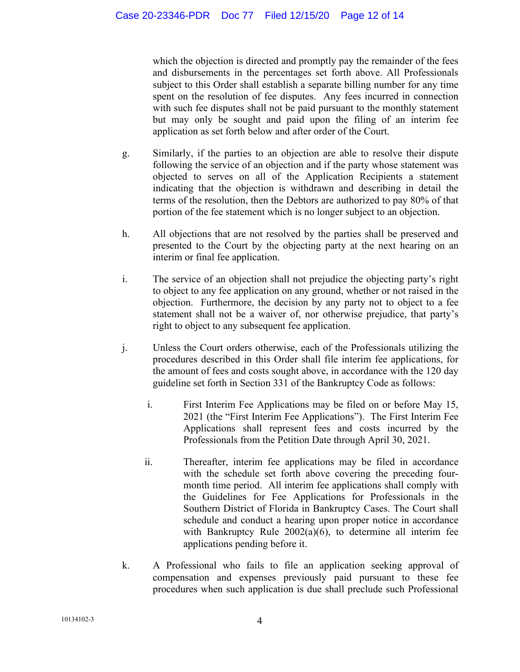which the objection is directed and promptly pay the remainder of the fees and disbursements in the percentages set forth above. All Professionals subject to this Order shall establish a separate billing number for any time spent on the resolution of fee disputes. Any fees incurred in connection with such fee disputes shall not be paid pursuant to the monthly statement but may only be sought and paid upon the filing of an interim fee application as set forth below and after order of the Court.

- g. Similarly, if the parties to an objection are able to resolve their dispute following the service of an objection and if the party whose statement was objected to serves on all of the Application Recipients a statement indicating that the objection is withdrawn and describing in detail the terms of the resolution, then the Debtors are authorized to pay 80% of that portion of the fee statement which is no longer subject to an objection.
- h. All objections that are not resolved by the parties shall be preserved and presented to the Court by the objecting party at the next hearing on an interim or final fee application.
- i. The service of an objection shall not prejudice the objecting party's right to object to any fee application on any ground, whether or not raised in the objection. Furthermore, the decision by any party not to object to a fee statement shall not be a waiver of, nor otherwise prejudice, that party's right to object to any subsequent fee application.
- j. Unless the Court orders otherwise, each of the Professionals utilizing the procedures described in this Order shall file interim fee applications, for the amount of fees and costs sought above, in accordance with the 120 day guideline set forth in Section 331 of the Bankruptcy Code as follows:
	- i. First Interim Fee Applications may be filed on or before May 15, 2021 (the "First Interim Fee Applications"). The First Interim Fee Applications shall represent fees and costs incurred by the Professionals from the Petition Date through April 30, 2021.
	- ii. Thereafter, interim fee applications may be filed in accordance with the schedule set forth above covering the preceding fourmonth time period. All interim fee applications shall comply with the Guidelines for Fee Applications for Professionals in the Southern District of Florida in Bankruptcy Cases. The Court shall schedule and conduct a hearing upon proper notice in accordance with Bankruptcy Rule 2002(a)(6), to determine all interim fee applications pending before it.
- k. A Professional who fails to file an application seeking approval of compensation and expenses previously paid pursuant to these fee procedures when such application is due shall preclude such Professional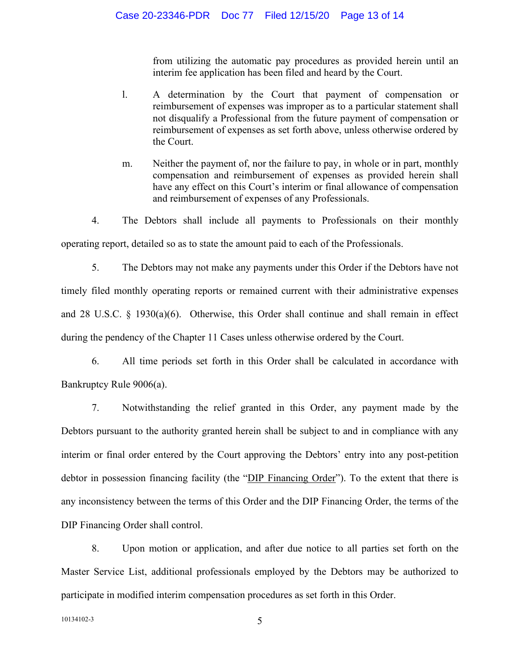from utilizing the automatic pay procedures as provided herein until an interim fee application has been filed and heard by the Court.

- l. A determination by the Court that payment of compensation or reimbursement of expenses was improper as to a particular statement shall not disqualify a Professional from the future payment of compensation or reimbursement of expenses as set forth above, unless otherwise ordered by the Court.
- m. Neither the payment of, nor the failure to pay, in whole or in part, monthly compensation and reimbursement of expenses as provided herein shall have any effect on this Court's interim or final allowance of compensation and reimbursement of expenses of any Professionals.

4. The Debtors shall include all payments to Professionals on their monthly operating report, detailed so as to state the amount paid to each of the Professionals.

5. The Debtors may not make any payments under this Order if the Debtors have not timely filed monthly operating reports or remained current with their administrative expenses and 28 U.S.C.  $\S$  1930(a)(6). Otherwise, this Order shall continue and shall remain in effect during the pendency of the Chapter 11 Cases unless otherwise ordered by the Court.

6. All time periods set forth in this Order shall be calculated in accordance with Bankruptcy Rule 9006(a).

7. Notwithstanding the relief granted in this Order, any payment made by the Debtors pursuant to the authority granted herein shall be subject to and in compliance with any interim or final order entered by the Court approving the Debtors' entry into any post-petition debtor in possession financing facility (the "DIP Financing Order"). To the extent that there is any inconsistency between the terms of this Order and the DIP Financing Order, the terms of the DIP Financing Order shall control.

8. Upon motion or application, and after due notice to all parties set forth on the Master Service List, additional professionals employed by the Debtors may be authorized to participate in modified interim compensation procedures as set forth in this Order.